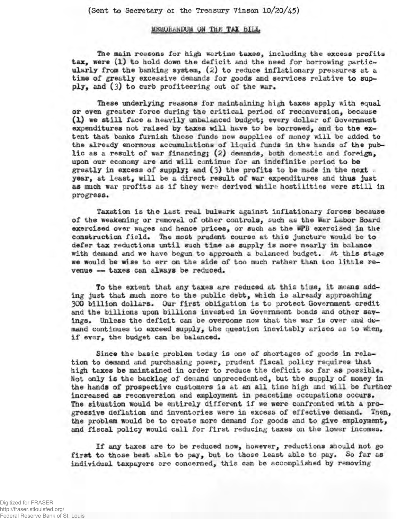(Sent to Secretary of the Treasury Vinson 10/20/45)

## **MEMORANDUM ON THE TAX BILL**

**The main reasons for high wartime taxes, including the excess profits tax, were (l) to hold down the deficit and the need for borrowing particularly from the banking system, (2) to reduce inflationary pressures at a time of greatly excessive demands for goods and services relative to supply, and (3) to curb profiteering out of the war.**

**These underlying reasons for maintaining high taxes apply with equal or even greater force during the critical period of reconversion, because** (1) we still face a heavily unbalanced budget; every dollar of Government **expenditures not raised by taxes will have to be borrowed, and to the extent that banks furnish these funds new supplies of** *money* **will be added to the already enormous accumulations of liquid funds in the hands of the public as a result of war financing; (2) demands, both domestic and foreign, upon our economy are and will continue for an indefinite period to be greatly in excess of supply\* and (3) the profits to be made in the next . year, at least, will be a direct result of war expenditures and thus just** as much war profits as if they were derived while hostilities were still in **progress.**

**Taxation is the last real bulwark against inflationary forces because of the weakening or removal of other controls, such as the fear Labor Board exercised over wages and hence prices, or such as the isPB exercised in the construction field. Hie most prudent course at this juncture would be to defer tax reductions until such time as supply is more nearly in balance with demand and we have begun to approach a balanced budget.** *At* **this stage we would be wise to err on the side of too much rather than too little re** $v$ enue - taxes can always be reduced.

*To* **the extent that any taxes are reduced at this time, it means adding just that much more to the public debt, which is already approaching 300 billion dollars. Our first obligation is to protect Government credit and the billions upon billions invested in Government bonds and other savings. Unless the deficit can be overcome now that the war is over and mand continues to exceed supply, the question inevitably arises as to when, if ever, the budget can be balanced.**

**Since the basic problem today is one of shortages of** *goods* **in relation to demand and purchasing power, prudent fiscal policy requires that high taxes be maintained in order to reduce the deficit so far as possible.** *Hot* **only is the backlog of de.and unprecedented, but the supply of money in the hand» of prospective customers is at an all time high and will be further increased as reconversion and employment in peacetime occupations occurs. The situation would be entirely different if we were confronted with a progressive deflation and inventories were in excess of effective demand. Then, the problem would be to create more demand for goods and to give employment, and fiscal policy would call for first reducing taxes on the lower incomes.**

**If any taxes are to be reduced now, however, reductions should not go first to those best able to pay, but to those least able to pay. So far as individual taxpayers are concerned, this can be accomplished by removing**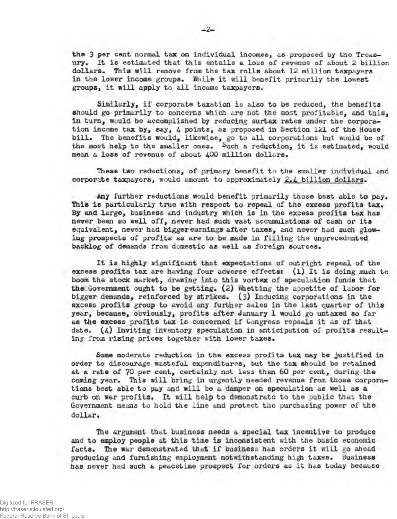**the 3 per cent normal tax on individual incomes, as proposed by the Treasury. It is estimated that this entails a loss of revenue of about 2 billion dollars. This will remove from the tax rolls about 12 million taxpayers** in the lower income groups. While it will benefit primarily the lowest **groups, it will apply to all income taxpayers.**

**Similarly, if corporate taxation is also to be reduced, the benefits should go primarily to concerns which are not the oiost profitable, and this,** in turn, would be accomplished by reducing surtax rates under the corpora**tion income tax by, say, 4 points, as proposed in Section 121 of the House bill. The benefits would, likewise, go to all corporations but would be of** the most help to the smaller ones. Such a reduction, it is estimated, would **mean a loss of revenue of about** 400 **million dollars.**

**These two reductions, of primary benefit to the smaller individual and corporate taxpayers, would amount to approximately 2.4 billion dollars.**

**Any further reductions would benefit primarily those best able to pay. This is particularly true with respect to repeal of the excess profits tax. By and large, business and industry which is in the excess profits tax has never been so well off, never had such vast accumulations of cash or its equivalent, never had bigger earnings after taxes, and never had such glowing prospects of profits as are to be made in filling the unprecedented backlog of demands from domestic as well as foreign sources.**

**It is highly significant that expectations of outright repeal of the excess profits tax are having four adverse effects: (l) It is doing much to boom the stock market, drawing into this vortex of speculation funds that the Government ought to be getting. (2) whetting the appetite of labor for bigger demands, reinforced by strikes. (3) Inducing corporations in the excess profits group to avoid any further sales in the last quarter of this year, because, obviously, profits after January 1 would go untaxed so far as the excess profits tax is concerned if Congress repeals it as of that date. (4) Inviting inventory speculation in anticipation of profits resulting from rising prices together with lower taxes.**

**Some moderate reduction in the excess profits tax may be justified in order to discourage wasteful expenditures, but the tax should be retained at a rate of 70 per cent, certainly not less than 60 per cent, during the coming year. This will bring in urgently needed revenue from those corporations best able to pay and will be a damper on speculation as well as a curb on war profits. It will help to demonstrate to the public that the Government means to hold the line and protect the purchasing power of the dollar.**

**The argument that business needs a special tax incentive to produce and to employ people at this time is inconsistent with the basic economic facts. The war demonstrated that if business has orders it will go ahead producing and furnishing employment notwithstanding hi^i taxes. Business has never had such a peacetime prospect for orders as it has today because**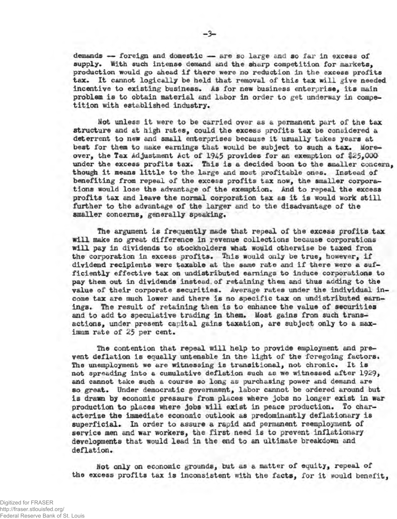**demands — - foreign and domestic — are so large and so far in excess of** supply. With such intense demand and the sharp competition for markets, **production would go ahead if there were no reduction in the excess profits tax. It cannot logically be held that removal of this tax will give needed** incentive to existing business. As for new business enterprise, its main problem is to obtain material and labor in order to get underway in compe**tition with established industry.**

**Mot unless it were to be carried over as a permanent part of the tax structure and at high rates, could the excess profits tax be considered a deterrent to new and small enterprises because it usually takes years at best for them to make earnings that would be subject to such a tax. Moreover, the Tax Adjustment Act of 1945 provides for an exemption of** *\$25,000* **under the excess profits tax. This is a decided boon to the smaller concern, though it means little to the large and most profitable ones. Instead of benefiting from repeal of the excess profits tax now, the smaller corpora**tions would lose the advantage of the exemption. And to repeal the excess **profits tax and leave the normal corporation tax as it is would work still further to the advantage of the larger and to the disadvantage of the smaller concerns, generally speaking.**

**The argument is frequently made that repeal of the excess profits tax will make no great difference in revenue collections because corporations will pay in dividends to stockholders what would otherwise be taxed from the corporation in excess profits. This would only be true, however, if dividend recipients were taxable at the same rate and If there were a sufficiently effective tax on undistributed earnings to induce corporations to pay them out in dividends instead, of retaining them and thus adding to the value of their corporate securities. Average rates under the individual income tax are much lower and there is no specific tax on undistributed earnings. The result of retaining them is to enhance the value of securities and to add to speculative trading in them. Most gains from such transactions, under present capital gains taxation, are subject only to a max**imum rate of 25 per cent.

**The contention that repeal will help to provide employment and prevent deflation is equally untenable in the light of the foregoing factors. Hie unemployment we are witnessing is transitional, not chronic. It is not spreading into a cumulative deflation such as we witnessed after 19^9 > and cannot take such a course so long as purchasing power and demand are** so great. Under democratic government, labor cannot be ordered around but **is drawn by economic pressure from places where jobs no longer exist in war production to places where jobs will exist in peace production. To characterize the immediate economic outlook; as predominantly deflationary is** superficial. In order to assure a rapid and permanent reemployment of **service men and war workers, the first need is to prevent inflationary developments that would lead in the end to an ultimate breakdown and** deflation.

**tfot only on economic grounds, but as a matter of equity, repeal of the excess profits tax is inconsistent with the facts, for it would benefit,**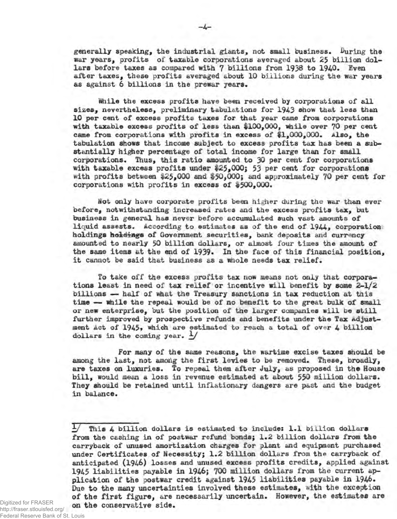generally speaking, the industrial giants, not small business. During the **war years, profits of taxable corporations averaged about 25 billion dollars before taxes as compared with 7 billions from 1938 to 1940. Even after taxes, these profits averaged about 10 billions during the war years as against 6 billions in the prewar years.**

**Miile the excess profits have been received by corporations of all sizes, nevertheless, preliminary tabulations for 1943 show that less than 10 per cent of excess profits taxes for that year came from corporations with taxable excess profits of less than \$100,000, while over** 70 **per cent came from corporations with profits in excess of #1,000,000. Also, the tabulation shows that income subject to excess profits tax has been a sub» stantially higher percentage of total income for large than for small corporations. Thus, this ratio amounted to 30 per cent for corporations with taxable excess profits under \$25,000; 53 per cent for corporations with profits between \$25,000 said \$50,000; and approximately 70 per cent for corporations with profits in excess of %500,000.**

**Wot only have corporate profits been higher during the war than ever before, notwithstanding increased rates and the excess profits tax, but business in general has never before accumulated such vast amounts of liquid assests. According to estimates as of the end of 1944» corporation holdings hoidinge of Government securities, bank deposits and currency amounted to nearly** 50 **billion dollars, or almost four times the amount of** the same items at the end of 1939. In the face of this financial position, **it cannot be said that business as a whole needs tax relief.**

**To take off the excess profits tax now means not only that corporations least in need of tax relief or incentive will benefit by some 2-1/^ billions — half of what the Treasury sanctions in tax reduction at this time — while the repeal would be of no benefit to the great bulk of small or new enterprise, but the position of the larger companies will be still further improved by prospective refunds and benefits under tne Tax adjustment Act of 1945» which are estimated to reach a total of over 4 billion dollars in the coming year. \*/**

**For many of the same reasons, the wartime excise taxes should be among the last, not among the first levies to be removed. These, broadly, are taxes on luxuries. To repeal them after July, as proposed in the House bill, would mean a loss in revenue estimated at about 550 million dollars. They should be retained until inflationary dangers are past and the budget in balance.**

Digitized for FRASER http://fraser.stlouisfed.org/ Federal Reserve Bank of St. Louis

*y* **This 4 billion dollars is estimated to includes 1.1 billion dollars from the cashing in of postwar refund bonds; 1.2 billion dollars from the carryback of unused amortization charges for plant and equipment purchased under Certificates of Necessity; 1.2 billion dollars from the carryback of anticipated (1946) losses and unused excess profits credits, applied against** 1945 **liabilities payable in 1946; 700 million dollars from the current application of the postwar credit against 1945 liabilities payable in 1946. Due to the many uncertainties involved these estimates, with the exception of the first figure, are necessarily uncertain. However, the estimates are on the conservative side.**